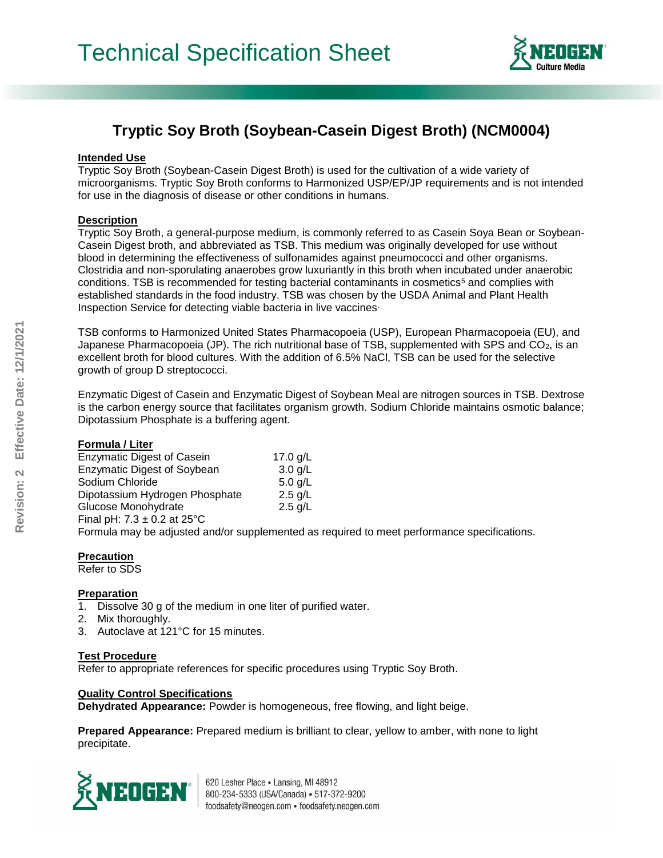

# **Tryptic Soy Broth (Soybean-Casein Digest Broth) (NCM0004)**

## **Intended Use**

Tryptic Soy Broth (Soybean-Casein Digest Broth) is used for the cultivation of a wide variety of microorganisms. Tryptic Soy Broth conforms to Harmonized USP/EP/JP requirements and is not intended for use in the diagnosis of disease or other conditions in humans.

## **Description**

Tryptic Soy Broth, a general-purpose medium, is commonly referred to as Casein Soya Bean or Soybean-Casein Digest broth, and abbreviated as TSB. This medium was originally developed for use without blood in determining the effectiveness of sulfonamides against pneumococci and other organisms. Clostridia and non-sporulating anaerobes grow luxuriantly in this broth when incubated under anaerobic conditions. TSB is recommended for testing bacterial contaminants in cosmetics<sup>5</sup> and complies with established standards in the food industry. TSB was chosen by the USDA Animal and Plant Health Inspection Service for detecting viable bacteria in live vaccines.

TSB conforms to Harmonized United States Pharmacopoeia (USP), European Pharmacopoeia (EU), and Japanese Pharmacopoeia (JP). The rich nutritional base of TSB, supplemented with SPS and CO<sub>2</sub>, is an excellent broth for blood cultures. With the addition of 6.5% NaCl, TSB can be used for the selective growth of group D streptococci.

Enzymatic Digest of Casein and Enzymatic Digest of Soybean Meal are nitrogen sources in TSB. Dextrose is the carbon energy source that facilitates organism growth. Sodium Chloride maintains osmotic balance; Dipotassium Phosphate is a buffering agent.

#### **Formula / Liter**

| <b>Enzymatic Digest of Casein</b>  | 17.0 $g/L$                                                                                  |
|------------------------------------|---------------------------------------------------------------------------------------------|
| <b>Enzymatic Digest of Soybean</b> | $3.0$ g/L                                                                                   |
| Sodium Chloride                    | 5.0 $q/L$                                                                                   |
| Dipotassium Hydrogen Phosphate     | $2.5$ g/L                                                                                   |
| Glucose Monohydrate                | 2.5 g/L                                                                                     |
| Final pH: $7.3 \pm 0.2$ at 25°C    |                                                                                             |
|                                    | Formula may be adjusted and/or supplemented as required to meet performance specifications. |

## **Precaution**

Refer to SDS

#### **Preparation**

1. Dissolve 30 g of the medium in one liter of purified water.

- 2. Mix thoroughly.
- 3. Autoclave at 121°C for 15 minutes.

## **Test Procedure**

Refer to appropriate references for specific procedures using Tryptic Soy Broth.

## **Quality Control Specifications**

**Dehydrated Appearance:** Powder is homogeneous, free flowing, and light beige.

**Prepared Appearance:** Prepared medium is brilliant to clear, yellow to amber, with none to light precipitate.



620 Lesher Place . Lansing, MI 48912 800-234-5333 (USA/Canada) · 517-372-9200 foodsafety@neogen.com · foodsafety.neogen.com